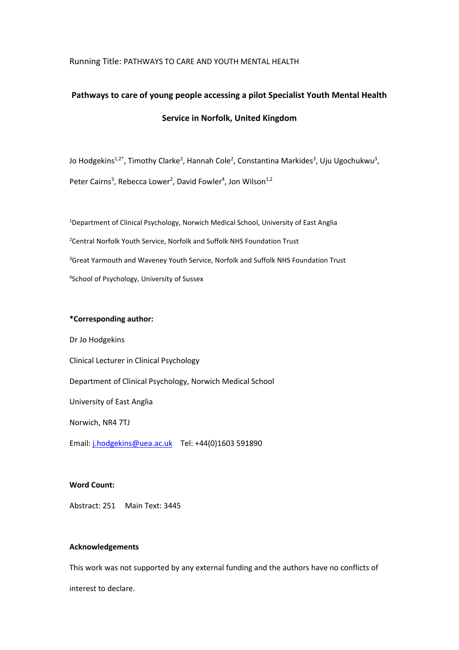#### Running Title: PATHWAYS TO CARE AND YOUTH MENTAL HEALTH

# **Pathways to care of young people accessing a pilot Specialist Youth Mental Health Service in Norfolk, United Kingdom**

Jo Hodgekins<sup>1,2\*</sup>, Timothy Clarke<sup>2</sup>, Hannah Cole<sup>2</sup>, Constantina Markides<sup>3</sup>, Uju Ugochukwu<sup>3</sup>, Peter Cairns<sup>3</sup>, Rebecca Lower<sup>2</sup>, David Fowler<sup>4</sup>, Jon Wilson<sup>1,2</sup>

<sup>1</sup>Department of Clinical Psychology, Norwich Medical School, University of East Anglia <sup>2</sup>Central Norfolk Youth Service, Norfolk and Suffolk NHS Foundation Trust <sup>3</sup>Great Yarmouth and Waveney Youth Service, Norfolk and Suffolk NHS Foundation Trust 4 School of Psychology, University of Sussex

#### **\*Corresponding author:**

Dr Jo Hodgekins Clinical Lecturer in Clinical Psychology Department of Clinical Psychology, Norwich Medical School University of East Anglia Norwich, NR4 7TJ Email: [j.hodgekins@uea.ac.uk](mailto:j.hodgekins@uea.ac.uk) Tel: +44(0)1603 591890

#### **Word Count:**

Abstract: 251 Main Text: 3445

#### **Acknowledgements**

This work was not supported by any external funding and the authors have no conflicts of

interest to declare.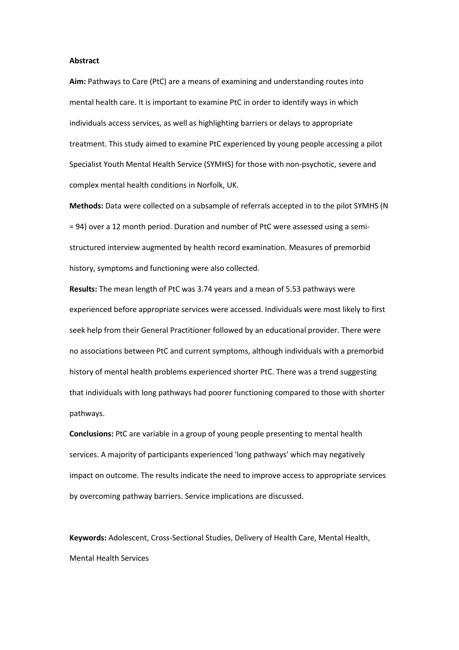#### **Abstract**

**Aim:** Pathways to Care (PtC) are a means of examining and understanding routes into mental health care. It is important to examine PtC in order to identify ways in which individuals access services, as well as highlighting barriers or delays to appropriate treatment. This study aimed to examine PtC experienced by young people accessing a pilot Specialist Youth Mental Health Service (SYMHS) for those with non-psychotic, severe and complex mental health conditions in Norfolk, UK.

**Methods:** Data were collected on a subsample of referrals accepted in to the pilot SYMHS (N = 94) over a 12 month period. Duration and number of PtC were assessed using a semistructured interview augmented by health record examination. Measures of premorbid history, symptoms and functioning were also collected.

**Results:** The mean length of PtC was 3.74 years and a mean of 5.53 pathways were experienced before appropriate services were accessed. Individuals were most likely to first seek help from their General Practitioner followed by an educational provider. There were no associations between PtC and current symptoms, although individuals with a premorbid history of mental health problems experienced shorter PtC. There was a trend suggesting that individuals with long pathways had poorer functioning compared to those with shorter pathways.

**Conclusions:** PtC are variable in a group of young people presenting to mental health services. A majority of participants experienced 'long pathways' which may negatively impact on outcome. The results indicate the need to improve access to appropriate services by overcoming pathway barriers. Service implications are discussed.

**Keywords:** Adolescent, Cross-Sectional Studies, Delivery of Health Care, Mental Health, Mental Health Services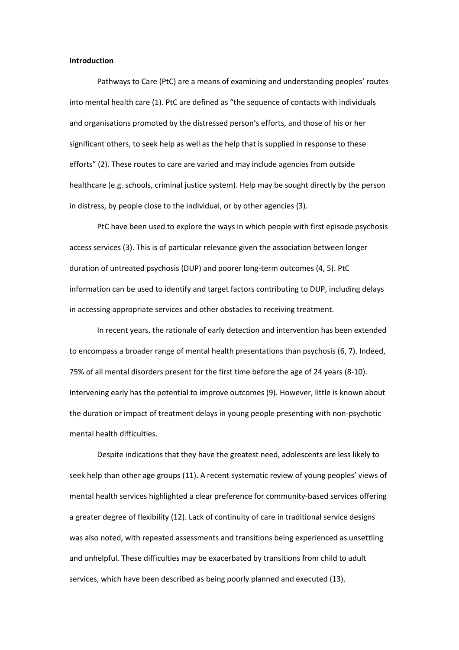#### **Introduction**

Pathways to Care (PtC) are a means of examining and understanding peoples' routes into mental health care (1). PtC are defined as "the sequence of contacts with individuals and organisations promoted by the distressed person's efforts, and those of his or her significant others, to seek help as well as the help that is supplied in response to these efforts" (2). These routes to care are varied and may include agencies from outside healthcare (e.g. schools, criminal justice system). Help may be sought directly by the person in distress, by people close to the individual, or by other agencies (3).

PtC have been used to explore the ways in which people with first episode psychosis access services (3). This is of particular relevance given the association between longer duration of untreated psychosis (DUP) and poorer long-term outcomes (4, 5). PtC information can be used to identify and target factors contributing to DUP, including delays in accessing appropriate services and other obstacles to receiving treatment.

In recent years, the rationale of early detection and intervention has been extended to encompass a broader range of mental health presentations than psychosis (6, 7). Indeed, 75% of all mental disorders present for the first time before the age of 24 years (8-10). Intervening early has the potential to improve outcomes (9). However, little is known about the duration or impact of treatment delays in young people presenting with non-psychotic mental health difficulties.

Despite indications that they have the greatest need, adolescents are less likely to seek help than other age groups (11). A recent systematic review of young peoples' views of mental health services highlighted a clear preference for community-based services offering a greater degree of flexibility (12). Lack of continuity of care in traditional service designs was also noted, with repeated assessments and transitions being experienced as unsettling and unhelpful. These difficulties may be exacerbated by transitions from child to adult services, which have been described as being poorly planned and executed (13).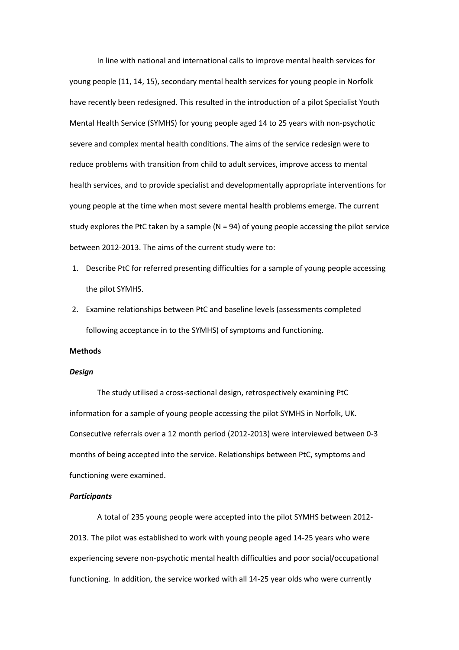In line with national and international calls to improve mental health services for young people (11, 14, 15), secondary mental health services for young people in Norfolk have recently been redesigned. This resulted in the introduction of a pilot Specialist Youth Mental Health Service (SYMHS) for young people aged 14 to 25 years with non-psychotic severe and complex mental health conditions. The aims of the service redesign were to reduce problems with transition from child to adult services, improve access to mental health services, and to provide specialist and developmentally appropriate interventions for young people at the time when most severe mental health problems emerge. The current study explores the PtC taken by a sample  $(N = 94)$  of young people accessing the pilot service between 2012-2013. The aims of the current study were to:

- 1. Describe PtC for referred presenting difficulties for a sample of young people accessing the pilot SYMHS.
- 2. Examine relationships between PtC and baseline levels (assessments completed following acceptance in to the SYMHS) of symptoms and functioning.

#### **Methods**

#### *Design*

The study utilised a cross-sectional design, retrospectively examining PtC information for a sample of young people accessing the pilot SYMHS in Norfolk, UK. Consecutive referrals over a 12 month period (2012-2013) were interviewed between 0-3 months of being accepted into the service. Relationships between PtC, symptoms and functioning were examined.

#### *Participants*

A total of 235 young people were accepted into the pilot SYMHS between 2012- 2013. The pilot was established to work with young people aged 14-25 years who were experiencing severe non-psychotic mental health difficulties and poor social/occupational functioning. In addition, the service worked with all 14-25 year olds who were currently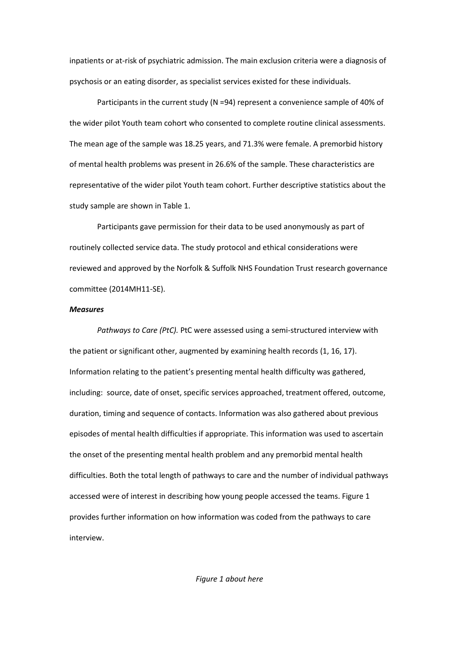inpatients or at-risk of psychiatric admission. The main exclusion criteria were a diagnosis of psychosis or an eating disorder, as specialist services existed for these individuals.

Participants in the current study (N =94) represent a convenience sample of 40% of the wider pilot Youth team cohort who consented to complete routine clinical assessments. The mean age of the sample was 18.25 years, and 71.3% were female. A premorbid history of mental health problems was present in 26.6% of the sample. These characteristics are representative of the wider pilot Youth team cohort. Further descriptive statistics about the study sample are shown in Table 1.

Participants gave permission for their data to be used anonymously as part of routinely collected service data. The study protocol and ethical considerations were reviewed and approved by the Norfolk & Suffolk NHS Foundation Trust research governance committee (2014MH11-SE).

#### *Measures*

*Pathways to Care (PtC).* PtC were assessed using a semi-structured interview with the patient or significant other, augmented by examining health records (1, 16, 17). Information relating to the patient's presenting mental health difficulty was gathered, including: source, date of onset, specific services approached, treatment offered, outcome, duration, timing and sequence of contacts. Information was also gathered about previous episodes of mental health difficulties if appropriate. This information was used to ascertain the onset of the presenting mental health problem and any premorbid mental health difficulties. Both the total length of pathways to care and the number of individual pathways accessed were of interest in describing how young people accessed the teams. Figure 1 provides further information on how information was coded from the pathways to care interview.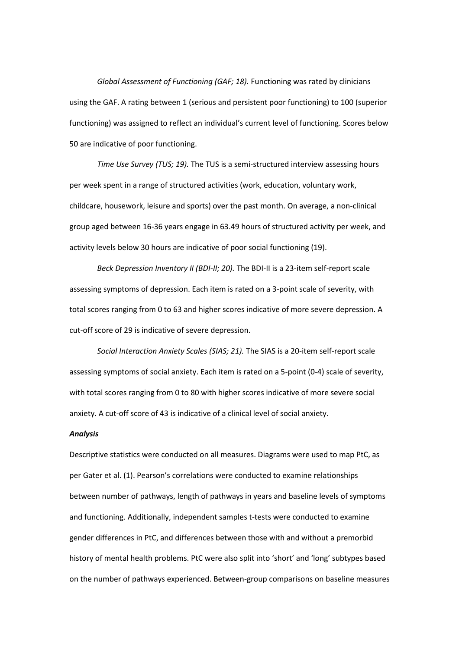*Global Assessment of Functioning (GAF; 18).* Functioning was rated by clinicians using the GAF. A rating between 1 (serious and persistent poor functioning) to 100 (superior functioning) was assigned to reflect an individual's current level of functioning. Scores below 50 are indicative of poor functioning.

*Time Use Survey (TUS; 19).* The TUS is a semi-structured interview assessing hours per week spent in a range of structured activities (work, education, voluntary work, childcare, housework, leisure and sports) over the past month. On average, a non-clinical group aged between 16-36 years engage in 63.49 hours of structured activity per week, and activity levels below 30 hours are indicative of poor social functioning (19).

*Beck Depression Inventory II (BDI-II; 20).* The BDI-II is a 23-item self-report scale assessing symptoms of depression. Each item is rated on a 3-point scale of severity, with total scores ranging from 0 to 63 and higher scores indicative of more severe depression. A cut-off score of 29 is indicative of severe depression.

*Social Interaction Anxiety Scales (SIAS; 21).* The SIAS is a 20-item self-report scale assessing symptoms of social anxiety. Each item is rated on a 5-point (0-4) scale of severity, with total scores ranging from 0 to 80 with higher scores indicative of more severe social anxiety. A cut-off score of 43 is indicative of a clinical level of social anxiety.

#### *Analysis*

Descriptive statistics were conducted on all measures. Diagrams were used to map PtC, as per Gater et al. (1). Pearson's correlations were conducted to examine relationships between number of pathways, length of pathways in years and baseline levels of symptoms and functioning. Additionally, independent samples t-tests were conducted to examine gender differences in PtC, and differences between those with and without a premorbid history of mental health problems. PtC were also split into 'short' and 'long' subtypes based on the number of pathways experienced. Between-group comparisons on baseline measures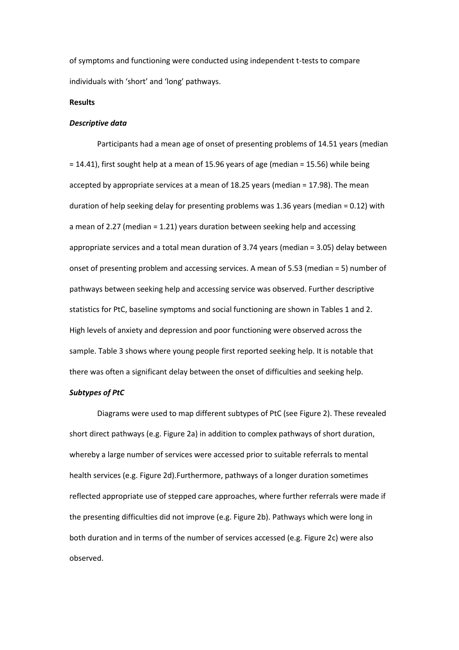of symptoms and functioning were conducted using independent t-tests to compare individuals with 'short' and 'long' pathways.

#### **Results**

#### *Descriptive data*

Participants had a mean age of onset of presenting problems of 14.51 years (median = 14.41), first sought help at a mean of 15.96 years of age (median = 15.56) while being accepted by appropriate services at a mean of 18.25 years (median = 17.98). The mean duration of help seeking delay for presenting problems was 1.36 years (median = 0.12) with a mean of 2.27 (median = 1.21) years duration between seeking help and accessing appropriate services and a total mean duration of 3.74 years (median = 3.05) delay between onset of presenting problem and accessing services. A mean of 5.53 (median = 5) number of pathways between seeking help and accessing service was observed. Further descriptive statistics for PtC, baseline symptoms and social functioning are shown in Tables 1 and 2. High levels of anxiety and depression and poor functioning were observed across the sample. Table 3 shows where young people first reported seeking help. It is notable that there was often a significant delay between the onset of difficulties and seeking help.

#### *Subtypes of PtC*

Diagrams were used to map different subtypes of PtC (see Figure 2). These revealed short direct pathways (e.g. Figure 2a) in addition to complex pathways of short duration, whereby a large number of services were accessed prior to suitable referrals to mental health services (e.g. Figure 2d).Furthermore, pathways of a longer duration sometimes reflected appropriate use of stepped care approaches, where further referrals were made if the presenting difficulties did not improve (e.g. Figure 2b). Pathways which were long in both duration and in terms of the number of services accessed (e.g. Figure 2c) were also observed.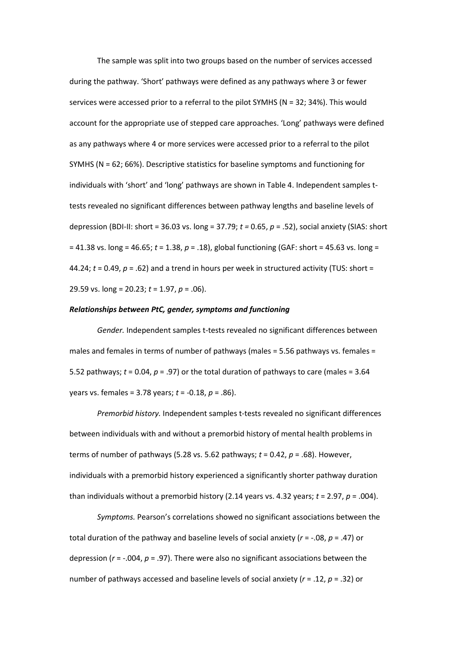The sample was split into two groups based on the number of services accessed during the pathway. 'Short' pathways were defined as any pathways where 3 or fewer services were accessed prior to a referral to the pilot SYMHS (N = 32; 34%). This would account for the appropriate use of stepped care approaches. 'Long' pathways were defined as any pathways where 4 or more services were accessed prior to a referral to the pilot SYMHS (N = 62; 66%). Descriptive statistics for baseline symptoms and functioning for individuals with 'short' and 'long' pathways are shown in Table 4. Independent samples ttests revealed no significant differences between pathway lengths and baseline levels of depression (BDI-II: short = 36.03 vs. long = 37.79; *t =* 0.65, *p* = .52), social anxiety (SIAS: short = 41.38 vs. long = 46.65; *t* = 1.38, *p* = .18), global functioning (GAF: short = 45.63 vs. long = 44.24;  $t = 0.49$ ,  $p = .62$ ) and a trend in hours per week in structured activity (TUS: short = 29.59 vs. long = 20.23; *t* = 1.97, *p* = .06).

#### *Relationships between PtC, gender, symptoms and functioning*

*Gender.* Independent samples t-tests revealed no significant differences between males and females in terms of number of pathways (males = 5.56 pathways vs. females = 5.52 pathways;  $t = 0.04$ ,  $p = .97$ ) or the total duration of pathways to care (males = 3.64 years vs. females = 3.78 years; *t* = -0.18, *p* = .86).

*Premorbid history.* Independent samples t-tests revealed no significant differences between individuals with and without a premorbid history of mental health problems in terms of number of pathways (5.28 vs. 5.62 pathways; *t* = 0.42, *p* = .68). However, individuals with a premorbid history experienced a significantly shorter pathway duration than individuals without a premorbid history (2.14 years vs. 4.32 years;  $t = 2.97$ ,  $p = .004$ ).

*Symptoms.* Pearson's correlations showed no significant associations between the total duration of the pathway and baseline levels of social anxiety (*r* = -.08, *p* = .47) or depression ( $r = -0.004$ ,  $p = 0.97$ ). There were also no significant associations between the number of pathways accessed and baseline levels of social anxiety (*r* = .12, *p* = .32) or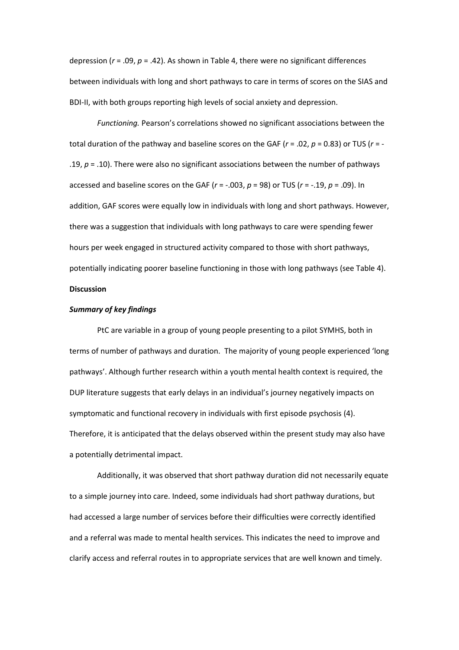depression (*r* = .09, *p* = .42). As shown in Table 4, there were no significant differences between individuals with long and short pathways to care in terms of scores on the SIAS and BDI-II, with both groups reporting high levels of social anxiety and depression.

*Functioning.* Pearson's correlations showed no significant associations between the total duration of the pathway and baseline scores on the GAF (*r* = .02, *p* = 0.83) or TUS (*r* = - .19, *p* = .10). There were also no significant associations between the number of pathways accessed and baseline scores on the GAF (*r* = -.003, *p* = 98) or TUS (*r* = -.19, *p* = .09). In addition, GAF scores were equally low in individuals with long and short pathways. However, there was a suggestion that individuals with long pathways to care were spending fewer hours per week engaged in structured activity compared to those with short pathways, potentially indicating poorer baseline functioning in those with long pathways (see Table 4). **Discussion**

#### *Summary of key findings*

PtC are variable in a group of young people presenting to a pilot SYMHS, both in terms of number of pathways and duration. The majority of young people experienced 'long pathways'. Although further research within a youth mental health context is required, the DUP literature suggests that early delays in an individual's journey negatively impacts on symptomatic and functional recovery in individuals with first episode psychosis (4). Therefore, it is anticipated that the delays observed within the present study may also have a potentially detrimental impact.

Additionally, it was observed that short pathway duration did not necessarily equate to a simple journey into care. Indeed, some individuals had short pathway durations, but had accessed a large number of services before their difficulties were correctly identified and a referral was made to mental health services. This indicates the need to improve and clarify access and referral routes in to appropriate services that are well known and timely.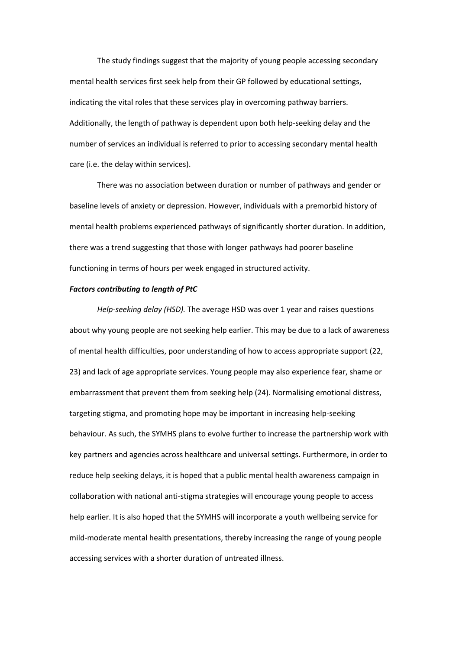The study findings suggest that the majority of young people accessing secondary mental health services first seek help from their GP followed by educational settings, indicating the vital roles that these services play in overcoming pathway barriers. Additionally, the length of pathway is dependent upon both help-seeking delay and the number of services an individual is referred to prior to accessing secondary mental health care (i.e. the delay within services).

There was no association between duration or number of pathways and gender or baseline levels of anxiety or depression. However, individuals with a premorbid history of mental health problems experienced pathways of significantly shorter duration. In addition, there was a trend suggesting that those with longer pathways had poorer baseline functioning in terms of hours per week engaged in structured activity.

#### *Factors contributing to length of PtC*

*Help-seeking delay (HSD).* The average HSD was over 1 year and raises questions about why young people are not seeking help earlier. This may be due to a lack of awareness of mental health difficulties, poor understanding of how to access appropriate support (22, 23) and lack of age appropriate services. Young people may also experience fear, shame or embarrassment that prevent them from seeking help (24). Normalising emotional distress, targeting stigma, and promoting hope may be important in increasing help-seeking behaviour. As such, the SYMHS plans to evolve further to increase the partnership work with key partners and agencies across healthcare and universal settings. Furthermore, in order to reduce help seeking delays, it is hoped that a public mental health awareness campaign in collaboration with national anti-stigma strategies will encourage young people to access help earlier. It is also hoped that the SYMHS will incorporate a youth wellbeing service for mild-moderate mental health presentations, thereby increasing the range of young people accessing services with a shorter duration of untreated illness.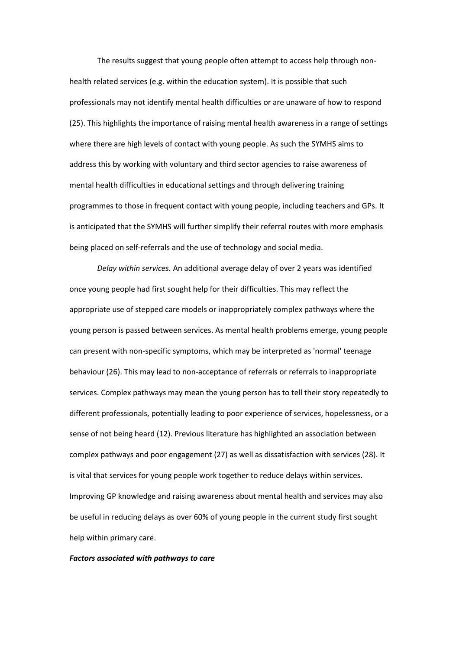The results suggest that young people often attempt to access help through nonhealth related services (e.g. within the education system). It is possible that such professionals may not identify mental health difficulties or are unaware of how to respond (25). This highlights the importance of raising mental health awareness in a range of settings where there are high levels of contact with young people. As such the SYMHS aims to address this by working with voluntary and third sector agencies to raise awareness of mental health difficulties in educational settings and through delivering training programmes to those in frequent contact with young people, including teachers and GPs. It is anticipated that the SYMHS will further simplify their referral routes with more emphasis being placed on self-referrals and the use of technology and social media.

*Delay within services.* An additional average delay of over 2 years was identified once young people had first sought help for their difficulties. This may reflect the appropriate use of stepped care models or inappropriately complex pathways where the young person is passed between services. As mental health problems emerge, young people can present with non-specific symptoms, which may be interpreted as 'normal' teenage behaviour (26). This may lead to non-acceptance of referrals or referrals to inappropriate services. Complex pathways may mean the young person has to tell their story repeatedly to different professionals, potentially leading to poor experience of services, hopelessness, or a sense of not being heard (12). Previous literature has highlighted an association between complex pathways and poor engagement (27) as well as dissatisfaction with services (28). It is vital that services for young people work together to reduce delays within services. Improving GP knowledge and raising awareness about mental health and services may also be useful in reducing delays as over 60% of young people in the current study first sought help within primary care.

#### *Factors associated with pathways to care*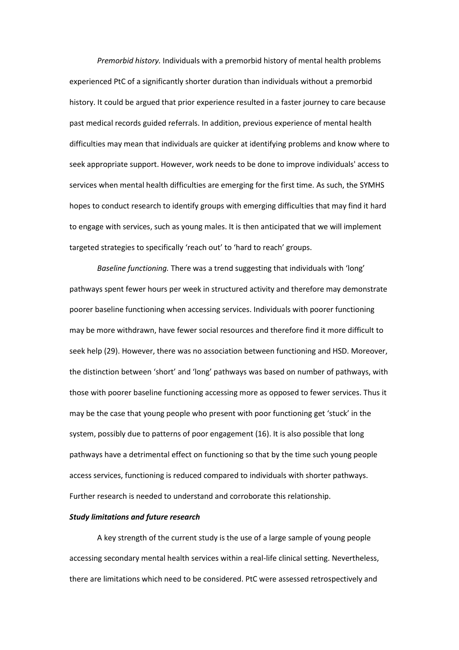*Premorbid history.* Individuals with a premorbid history of mental health problems experienced PtC of a significantly shorter duration than individuals without a premorbid history. It could be argued that prior experience resulted in a faster journey to care because past medical records guided referrals. In addition, previous experience of mental health difficulties may mean that individuals are quicker at identifying problems and know where to seek appropriate support. However, work needs to be done to improve individuals' access to services when mental health difficulties are emerging for the first time. As such, the SYMHS hopes to conduct research to identify groups with emerging difficulties that may find it hard to engage with services, such as young males. It is then anticipated that we will implement targeted strategies to specifically 'reach out' to 'hard to reach' groups.

*Baseline functioning.* There was a trend suggesting that individuals with 'long' pathways spent fewer hours per week in structured activity and therefore may demonstrate poorer baseline functioning when accessing services. Individuals with poorer functioning may be more withdrawn, have fewer social resources and therefore find it more difficult to seek help (29). However, there was no association between functioning and HSD. Moreover, the distinction between 'short' and 'long' pathways was based on number of pathways, with those with poorer baseline functioning accessing more as opposed to fewer services. Thus it may be the case that young people who present with poor functioning get 'stuck' in the system, possibly due to patterns of poor engagement (16). It is also possible that long pathways have a detrimental effect on functioning so that by the time such young people access services, functioning is reduced compared to individuals with shorter pathways. Further research is needed to understand and corroborate this relationship.

#### *Study limitations and future research*

A key strength of the current study is the use of a large sample of young people accessing secondary mental health services within a real-life clinical setting. Nevertheless, there are limitations which need to be considered. PtC were assessed retrospectively and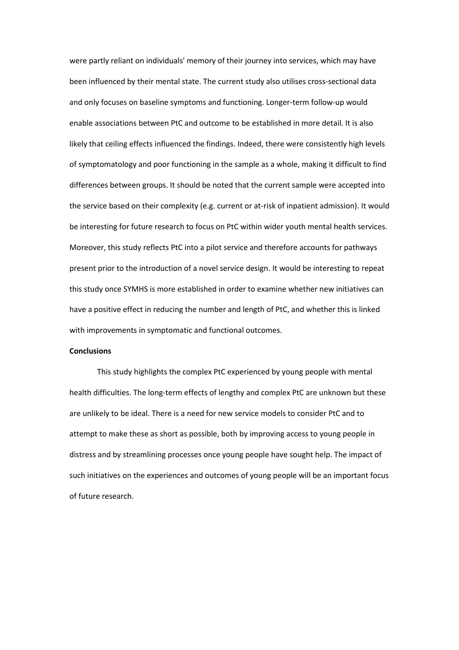were partly reliant on individuals' memory of their journey into services, which may have been influenced by their mental state. The current study also utilises cross-sectional data and only focuses on baseline symptoms and functioning. Longer-term follow-up would enable associations between PtC and outcome to be established in more detail. It is also likely that ceiling effects influenced the findings. Indeed, there were consistently high levels of symptomatology and poor functioning in the sample as a whole, making it difficult to find differences between groups. It should be noted that the current sample were accepted into the service based on their complexity (e.g. current or at-risk of inpatient admission). It would be interesting for future research to focus on PtC within wider youth mental health services. Moreover, this study reflects PtC into a pilot service and therefore accounts for pathways present prior to the introduction of a novel service design. It would be interesting to repeat this study once SYMHS is more established in order to examine whether new initiatives can have a positive effect in reducing the number and length of PtC, and whether this is linked with improvements in symptomatic and functional outcomes.

#### **Conclusions**

This study highlights the complex PtC experienced by young people with mental health difficulties. The long-term effects of lengthy and complex PtC are unknown but these are unlikely to be ideal. There is a need for new service models to consider PtC and to attempt to make these as short as possible, both by improving access to young people in distress and by streamlining processes once young people have sought help. The impact of such initiatives on the experiences and outcomes of young people will be an important focus of future research.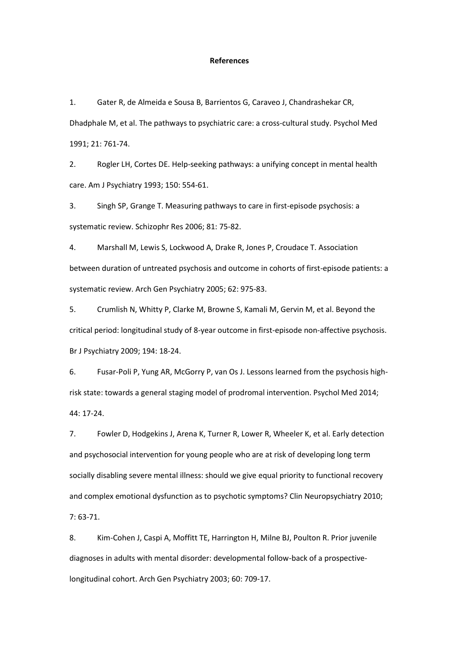#### **References**

1. Gater R, de Almeida e Sousa B, Barrientos G, Caraveo J, Chandrashekar CR, Dhadphale M, et al. The pathways to psychiatric care: a cross-cultural study. Psychol Med 1991; 21: 761-74.

2. Rogler LH, Cortes DE. Help-seeking pathways: a unifying concept in mental health care. Am J Psychiatry 1993; 150: 554-61.

3. Singh SP, Grange T. Measuring pathways to care in first-episode psychosis: a systematic review. Schizophr Res 2006; 81: 75-82.

4. Marshall M, Lewis S, Lockwood A, Drake R, Jones P, Croudace T. Association between duration of untreated psychosis and outcome in cohorts of first-episode patients: a systematic review. Arch Gen Psychiatry 2005; 62: 975-83.

5. Crumlish N, Whitty P, Clarke M, Browne S, Kamali M, Gervin M, et al. Beyond the critical period: longitudinal study of 8-year outcome in first-episode non-affective psychosis. Br J Psychiatry 2009; 194: 18-24.

6. Fusar-Poli P, Yung AR, McGorry P, van Os J. Lessons learned from the psychosis highrisk state: towards a general staging model of prodromal intervention. Psychol Med 2014; 44: 17-24.

7. Fowler D, Hodgekins J, Arena K, Turner R, Lower R, Wheeler K, et al. Early detection and psychosocial intervention for young people who are at risk of developing long term socially disabling severe mental illness: should we give equal priority to functional recovery and complex emotional dysfunction as to psychotic symptoms? Clin Neuropsychiatry 2010; 7: 63-71.

8. Kim-Cohen J, Caspi A, Moffitt TE, Harrington H, Milne BJ, Poulton R. Prior juvenile diagnoses in adults with mental disorder: developmental follow-back of a prospectivelongitudinal cohort. Arch Gen Psychiatry 2003; 60: 709-17.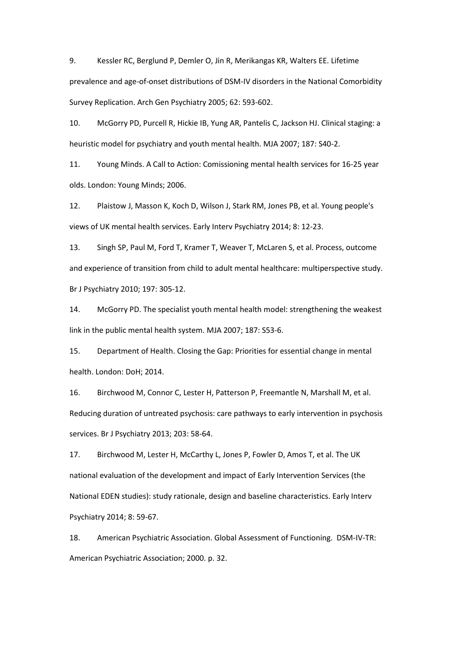9. Kessler RC, Berglund P, Demler O, Jin R, Merikangas KR, Walters EE. Lifetime prevalence and age-of-onset distributions of DSM-IV disorders in the National Comorbidity Survey Replication. Arch Gen Psychiatry 2005; 62: 593-602.

10. McGorry PD, Purcell R, Hickie IB, Yung AR, Pantelis C, Jackson HJ. Clinical staging: a heuristic model for psychiatry and youth mental health. MJA 2007; 187: S40-2.

11. Young Minds. A Call to Action: Comissioning mental health services for 16-25 year olds. London: Young Minds; 2006.

12. Plaistow J, Masson K, Koch D, Wilson J, Stark RM, Jones PB, et al. Young people's views of UK mental health services. Early Interv Psychiatry 2014; 8: 12-23.

13. Singh SP, Paul M, Ford T, Kramer T, Weaver T, McLaren S, et al. Process, outcome and experience of transition from child to adult mental healthcare: multiperspective study. Br J Psychiatry 2010; 197: 305-12.

14. McGorry PD. The specialist youth mental health model: strengthening the weakest link in the public mental health system. MJA 2007; 187: S53-6.

15. Department of Health. Closing the Gap: Priorities for essential change in mental health. London: DoH; 2014.

16. Birchwood M, Connor C, Lester H, Patterson P, Freemantle N, Marshall M, et al. Reducing duration of untreated psychosis: care pathways to early intervention in psychosis services. Br J Psychiatry 2013; 203: 58-64.

17. Birchwood M, Lester H, McCarthy L, Jones P, Fowler D, Amos T, et al. The UK national evaluation of the development and impact of Early Intervention Services (the National EDEN studies): study rationale, design and baseline characteristics. Early Interv Psychiatry 2014; 8: 59-67.

18. American Psychiatric Association. Global Assessment of Functioning. DSM-IV-TR: American Psychiatric Association; 2000. p. 32.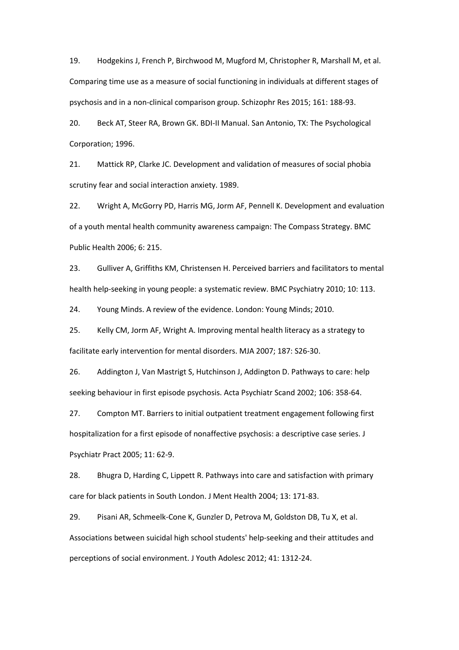19. Hodgekins J, French P, Birchwood M, Mugford M, Christopher R, Marshall M, et al. Comparing time use as a measure of social functioning in individuals at different stages of psychosis and in a non-clinical comparison group. Schizophr Res 2015; 161: 188-93.

20. Beck AT, Steer RA, Brown GK. BDI-II Manual. San Antonio, TX: The Psychological Corporation; 1996.

21. Mattick RP, Clarke JC. Development and validation of measures of social phobia scrutiny fear and social interaction anxiety. 1989.

22. Wright A, McGorry PD, Harris MG, Jorm AF, Pennell K. Development and evaluation of a youth mental health community awareness campaign: The Compass Strategy. BMC Public Health 2006; 6: 215.

23. Gulliver A, Griffiths KM, Christensen H. Perceived barriers and facilitators to mental health help-seeking in young people: a systematic review. BMC Psychiatry 2010; 10: 113.

24. Young Minds. A review of the evidence. London: Young Minds; 2010.

25. Kelly CM, Jorm AF, Wright A. Improving mental health literacy as a strategy to facilitate early intervention for mental disorders. MJA 2007; 187: S26-30.

26. Addington J, Van Mastrigt S, Hutchinson J, Addington D. Pathways to care: help seeking behaviour in first episode psychosis. Acta Psychiatr Scand 2002; 106: 358-64.

27. Compton MT. Barriers to initial outpatient treatment engagement following first hospitalization for a first episode of nonaffective psychosis: a descriptive case series. J Psychiatr Pract 2005; 11: 62-9.

28. Bhugra D, Harding C, Lippett R. Pathways into care and satisfaction with primary care for black patients in South London. J Ment Health 2004; 13: 171-83.

29. Pisani AR, Schmeelk-Cone K, Gunzler D, Petrova M, Goldston DB, Tu X, et al. Associations between suicidal high school students' help-seeking and their attitudes and perceptions of social environment. J Youth Adolesc 2012; 41: 1312-24.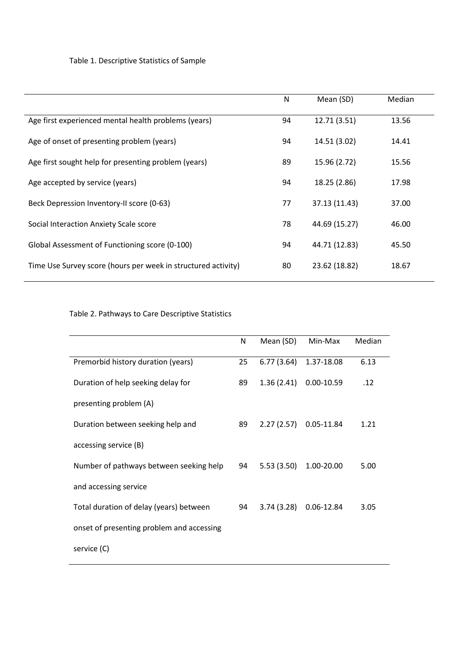# Table 1. Descriptive Statistics of Sample

|                                                               | N  | Mean (SD)     | Median |
|---------------------------------------------------------------|----|---------------|--------|
| Age first experienced mental health problems (years)          | 94 | 12.71 (3.51)  | 13.56  |
| Age of onset of presenting problem (years)                    | 94 | 14.51 (3.02)  | 14.41  |
| Age first sought help for presenting problem (years)          | 89 | 15.96 (2.72)  | 15.56  |
| Age accepted by service (years)                               | 94 | 18.25 (2.86)  | 17.98  |
| Beck Depression Inventory-II score (0-63)                     | 77 | 37.13 (11.43) | 37.00  |
| Social Interaction Anxiety Scale score                        | 78 | 44.69 (15.27) | 46.00  |
| Global Assessment of Functioning score (0-100)                | 94 | 44.71 (12.83) | 45.50  |
| Time Use Survey score (hours per week in structured activity) | 80 | 23.62 (18.82) | 18.67  |

# Table 2. Pathways to Care Descriptive Statistics

|                                           | N  | Mean (SD)  | Min-Max        | Median |
|-------------------------------------------|----|------------|----------------|--------|
| Premorbid history duration (years)        | 25 | 6.77(3.64) | 1.37-18.08     | 6.13   |
| Duration of help seeking delay for        | 89 | 1.36(2.41) | $0.00 - 10.59$ | .12    |
| presenting problem (A)                    |    |            |                |        |
| Duration between seeking help and         | 89 | 2.27(2.57) | 0.05-11.84     | 1.21   |
| accessing service (B)                     |    |            |                |        |
| Number of pathways between seeking help   | 94 | 5.53(3.50) | 1.00-20.00     | 5.00   |
| and accessing service                     |    |            |                |        |
| Total duration of delay (years) between   | 94 | 3.74(3.28) | 0.06-12.84     | 3.05   |
| onset of presenting problem and accessing |    |            |                |        |
| service (C)                               |    |            |                |        |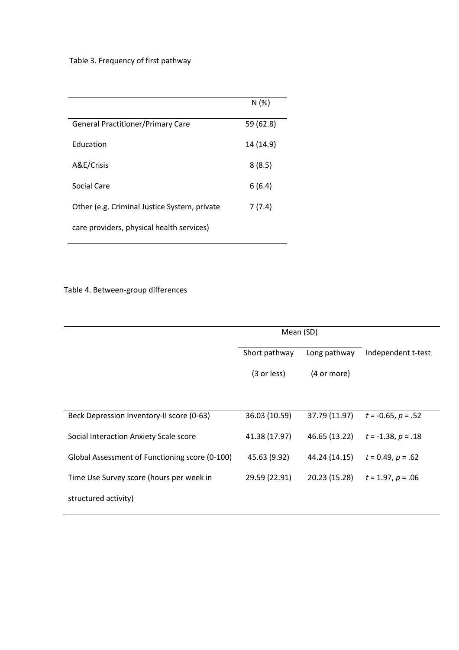# Table 3. Frequency of first pathway

|                                              | N(%)      |
|----------------------------------------------|-----------|
| <b>General Practitioner/Primary Care</b>     | 59 (62.8) |
| Education                                    | 14 (14.9) |
| A&E/Crisis                                   | 8(8.5)    |
| Social Care                                  | 6(6.4)    |
| Other (e.g. Criminal Justice System, private | 7(7.4)    |
| care providers, physical health services)    |           |

# Table 4. Between-group differences

|                                                | Mean (SD)     |               |                         |
|------------------------------------------------|---------------|---------------|-------------------------|
|                                                | Short pathway | Long pathway  | Independent t-test      |
|                                                | (3 or less)   | (4 or more)   |                         |
|                                                |               |               |                         |
| Beck Depression Inventory-II score (0-63)      | 36.03 (10.59) | 37.79 (11.97) | $t = -0.65$ , $p = .52$ |
| Social Interaction Anxiety Scale score         | 41.38 (17.97) | 46.65 (13.22) | $t = -1.38, p = .18$    |
| Global Assessment of Functioning score (0-100) | 45.63 (9.92)  | 44.24 (14.15) | $t = 0.49, p = .62$     |
| Time Use Survey score (hours per week in       | 29.59 (22.91) | 20.23 (15.28) | $t = 1.97, p = .06$     |
| structured activity)                           |               |               |                         |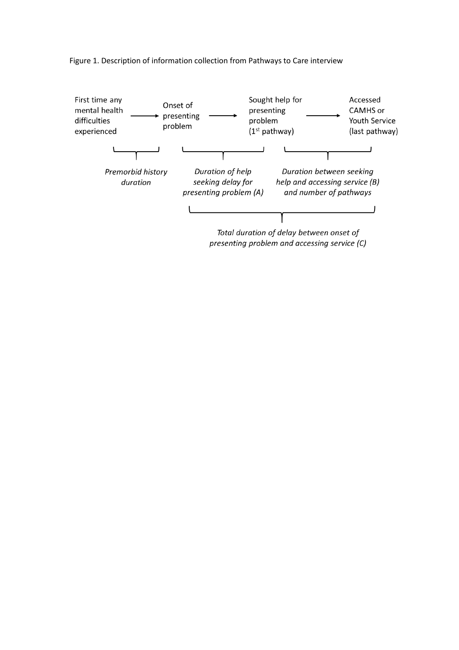Figure 1. Description of information collection from Pathways to Care interview

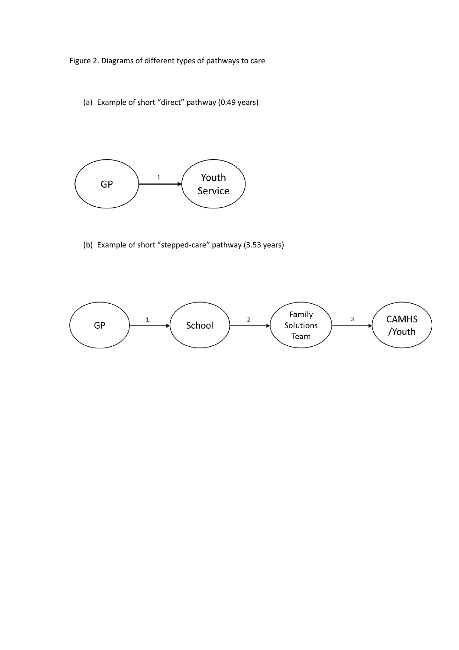Figure 2. Diagrams of different types of pathways to care

(a) Example of short "direct" pathway (0.49 years)



(b) Example of short "stepped-care" pathway (3.53 years)

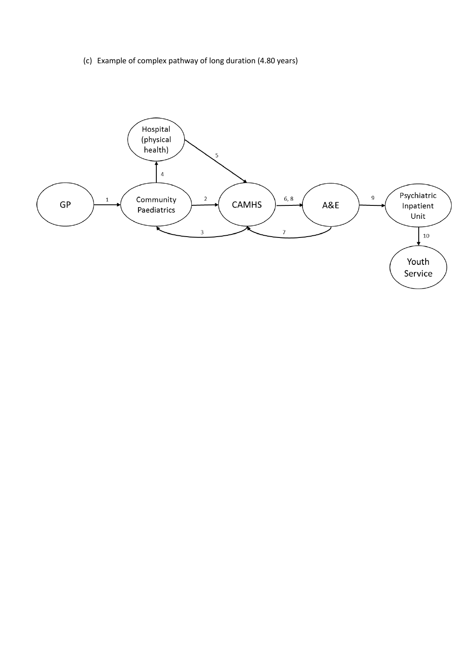(c) Example of complex pathway of long duration (4.80 years)